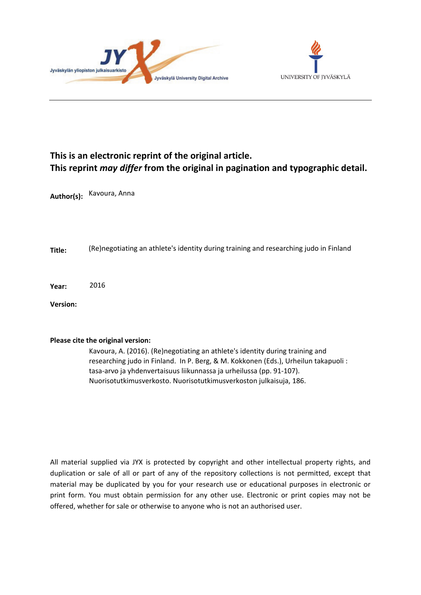



# **This is an electronic reprint of the original article. This reprint** *may differ* **from the original in pagination and typographic detail.**

**Author(s):**  Kavoura, Anna

**Title:** (Re)negotiating an athlete's identity during training and researching judo in Finland

**Year:**  2016

**Version:**

## **Please cite the original version:**

Kavoura, A. (2016). (Re)negotiating an athlete's identity during training and researching judo in Finland. In P. Berg, & M. Kokkonen (Eds.), Urheilun takapuoli : tasa-arvo ja yhdenvertaisuus liikunnassa ja urheilussa (pp. 91-107). Nuorisotutkimusverkosto. Nuorisotutkimusverkoston julkaisuja, 186.

All material supplied via JYX is protected by copyright and other intellectual property rights, and duplication or sale of all or part of any of the repository collections is not permitted, except that material may be duplicated by you for your research use or educational purposes in electronic or print form. You must obtain permission for any other use. Electronic or print copies may not be offered, whether for sale or otherwise to anyone who is not an authorised user.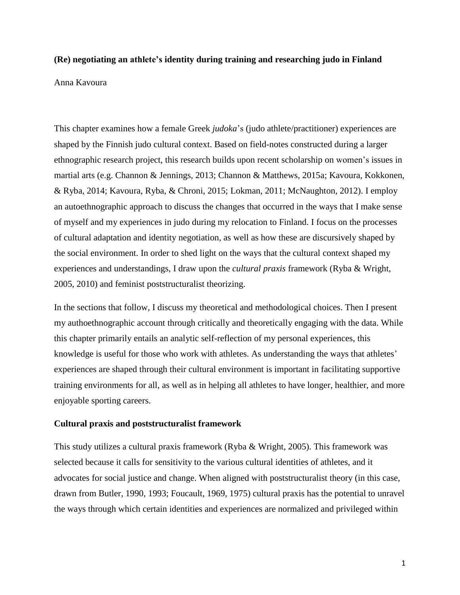## **(Re) negotiating an athlete's identity during training and researching judo in Finland**

Anna Kavoura

This chapter examines how a female Greek *judoka*'s (judo athlete/practitioner) experiences are shaped by the Finnish judo cultural context. Based on field-notes constructed during a larger ethnographic research project, this research builds upon recent scholarship on women's issues in martial arts (e.g. Channon & Jennings, 2013; Channon & Matthews, 2015a; Kavoura, Kokkonen, & Ryba, 2014; Kavoura, Ryba, & Chroni, 2015; Lokman, 2011; McNaughton, 2012). I employ an autoethnographic approach to discuss the changes that occurred in the ways that I make sense of myself and my experiences in judo during my relocation to Finland. I focus on the processes of cultural adaptation and identity negotiation, as well as how these are discursively shaped by the social environment. In order to shed light on the ways that the cultural context shaped my experiences and understandings, I draw upon the *cultural praxis* framework (Ryba & Wright, 2005, 2010) and feminist poststructuralist theorizing.

In the sections that follow, I discuss my theoretical and methodological choices. Then I present my authoethnographic account through critically and theoretically engaging with the data. While this chapter primarily entails an analytic self-reflection of my personal experiences, this knowledge is useful for those who work with athletes. As understanding the ways that athletes' experiences are shaped through their cultural environment is important in facilitating supportive training environments for all, as well as in helping all athletes to have longer, healthier, and more enjoyable sporting careers.

#### **Cultural praxis and poststructuralist framework**

This study utilizes a cultural praxis framework (Ryba & Wright, 2005). This framework was selected because it calls for sensitivity to the various cultural identities of athletes, and it advocates for social justice and change. When aligned with poststructuralist theory (in this case, drawn from Butler, 1990, 1993; Foucault, 1969, 1975) cultural praxis has the potential to unravel the ways through which certain identities and experiences are normalized and privileged within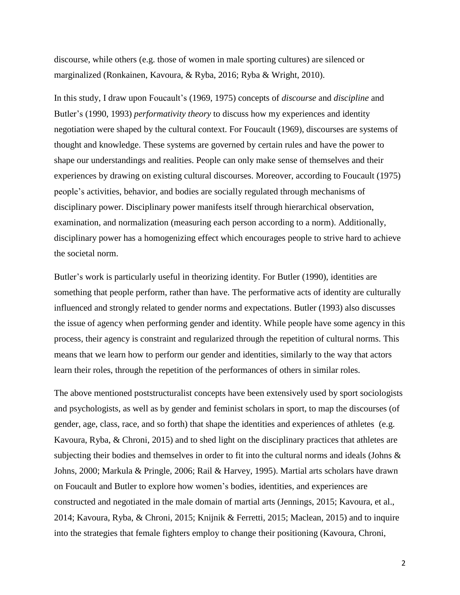discourse, while others (e.g. those of women in male sporting cultures) are silenced or marginalized (Ronkainen, Kavoura, & Ryba, 2016; Ryba & Wright, 2010).

In this study, I draw upon Foucault's (1969, 1975) concepts of *discourse* and *discipline* and Butler's (1990, 1993) *performativity theory* to discuss how my experiences and identity negotiation were shaped by the cultural context. For Foucault (1969), discourses are systems of thought and knowledge. These systems are governed by certain rules and have the power to shape our understandings and realities. People can only make sense of themselves and their experiences by drawing on existing cultural discourses. Moreover, according to Foucault (1975) people's activities, behavior, and bodies are socially regulated through mechanisms of disciplinary power. Disciplinary power manifests itself through hierarchical observation, examination, and normalization (measuring each person according to a norm). Additionally, disciplinary power has a homogenizing effect which encourages people to strive hard to achieve the societal norm.

Butler's work is particularly useful in theorizing identity. For Butler (1990), identities are something that people perform, rather than have. The performative acts of identity are culturally influenced and strongly related to gender norms and expectations. Butler (1993) also discusses the issue of agency when performing gender and identity. While people have some agency in this process, their agency is constraint and regularized through the repetition of cultural norms. This means that we learn how to perform our gender and identities, similarly to the way that actors learn their roles, through the repetition of the performances of others in similar roles.

The above mentioned poststructuralist concepts have been extensively used by sport sociologists and psychologists, as well as by gender and feminist scholars in sport, to map the discourses (of gender, age, class, race, and so forth) that shape the identities and experiences of athletes (e.g. Kavoura, Ryba, & Chroni, 2015) and to shed light on the disciplinary practices that athletes are subjecting their bodies and themselves in order to fit into the cultural norms and ideals (Johns & Johns, 2000; Markula & Pringle, 2006; Rail & Harvey, 1995). Martial arts scholars have drawn on Foucault and Butler to explore how women's bodies, identities, and experiences are constructed and negotiated in the male domain of martial arts (Jennings, 2015; Kavoura, et al., 2014; Kavoura, Ryba, & Chroni, 2015; Knijnik & Ferretti, 2015; Maclean, 2015) and to inquire into the strategies that female fighters employ to change their positioning (Kavoura, Chroni,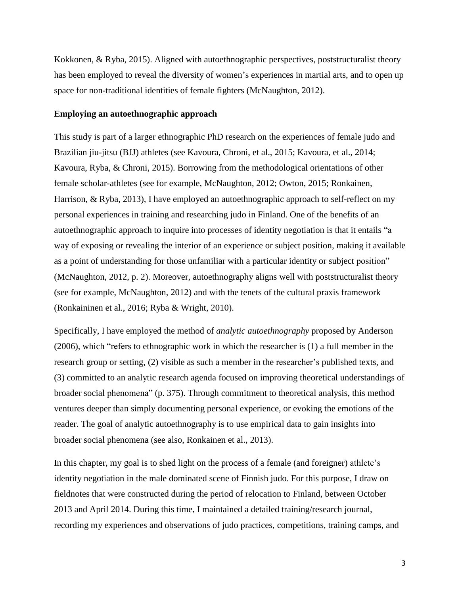Kokkonen, & Ryba, 2015). Aligned with autoethnographic perspectives, poststructuralist theory has been employed to reveal the diversity of women's experiences in martial arts, and to open up space for non-traditional identities of female fighters (McNaughton, 2012).

## **Employing an autoethnographic approach**

This study is part of a larger ethnographic PhD research on the experiences of female judo and Brazilian jiu-jitsu (BJJ) athletes (see Kavoura, Chroni, et al., 2015; Kavoura, et al., 2014; Kavoura, Ryba, & Chroni, 2015). Borrowing from the methodological orientations of other female scholar-athletes (see for example, McNaughton, 2012; Owton, 2015; Ronkainen, Harrison, & Ryba, 2013), I have employed an autoethnographic approach to self-reflect on my personal experiences in training and researching judo in Finland. One of the benefits of an autoethnographic approach to inquire into processes of identity negotiation is that it entails "a way of exposing or revealing the interior of an experience or subject position, making it available as a point of understanding for those unfamiliar with a particular identity or subject position" (McNaughton, 2012, p. 2). Moreover, autoethnography aligns well with poststructuralist theory (see for example, McNaughton, 2012) and with the tenets of the cultural praxis framework (Ronkaininen et al., 2016; Ryba & Wright, 2010).

Specifically, I have employed the method of *analytic autoethnography* proposed by Anderson (2006), which "refers to ethnographic work in which the researcher is (1) a full member in the research group or setting, (2) visible as such a member in the researcher's published texts, and (3) committed to an analytic research agenda focused on improving theoretical understandings of broader social phenomena" (p. 375). Through commitment to theoretical analysis, this method ventures deeper than simply documenting personal experience, or evoking the emotions of the reader. The goal of analytic autoethnography is to use empirical data to gain insights into broader social phenomena (see also, Ronkainen et al., 2013).

In this chapter, my goal is to shed light on the process of a female (and foreigner) athlete's identity negotiation in the male dominated scene of Finnish judo. For this purpose, I draw on fieldnotes that were constructed during the period of relocation to Finland, between October 2013 and April 2014. During this time, I maintained a detailed training/research journal, recording my experiences and observations of judo practices, competitions, training camps, and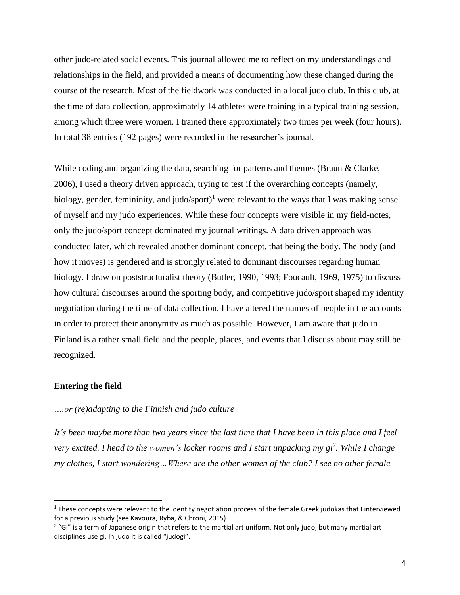other judo-related social events. This journal allowed me to reflect on my understandings and relationships in the field, and provided a means of documenting how these changed during the course of the research. Most of the fieldwork was conducted in a local judo club. In this club, at the time of data collection, approximately 14 athletes were training in a typical training session, among which three were women. I trained there approximately two times per week (four hours). In total 38 entries (192 pages) were recorded in the researcher's journal.

While coding and organizing the data, searching for patterns and themes (Braun & Clarke, 2006), I used a theory driven approach, trying to test if the overarching concepts (namely, biology, gender, femininity, and judo/sport)<sup>1</sup> were relevant to the ways that I was making sense of myself and my judo experiences. While these four concepts were visible in my field-notes, only the judo/sport concept dominated my journal writings. A data driven approach was conducted later, which revealed another dominant concept, that being the body. The body (and how it moves) is gendered and is strongly related to dominant discourses regarding human biology. I draw on poststructuralist theory (Butler, 1990, 1993; Foucault, 1969, 1975) to discuss how cultural discourses around the sporting body, and competitive judo/sport shaped my identity negotiation during the time of data collection. I have altered the names of people in the accounts in order to protect their anonymity as much as possible. However, I am aware that judo in Finland is a rather small field and the people, places, and events that I discuss about may still be recognized.

## **Entering the field**

l

## *….or (re)adapting to the Finnish and judo culture*

It's been maybe more than two years since the last time that I have been in this place and I feel very excited. I head to the women's locker rooms and I start unpacking my gi<sup>2</sup>. While I change *my clothes, I start wondering…Where are the other women of the club? I see no other female*

 $1$  These concepts were relevant to the identity negotiation process of the female Greek judokas that I interviewed for a previous study (see Kavoura, Ryba, & Chroni, 2015).

<sup>&</sup>lt;sup>2</sup> "Gi" is a term of Japanese origin that refers to the martial art uniform. Not only judo, but many martial art disciplines use gi. In judo it is called "judogi".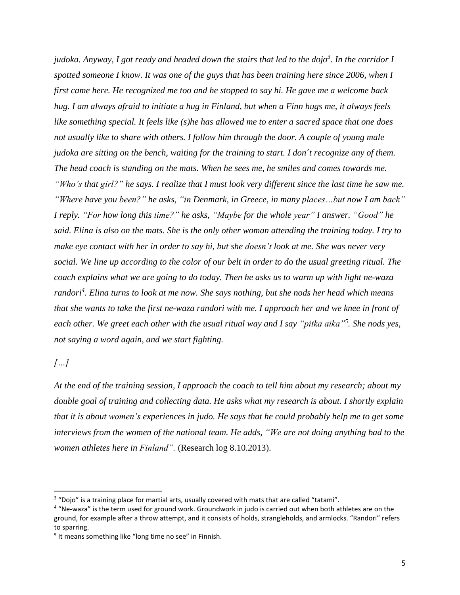judoka. Anyway, I got ready and headed down the stairs that led to the dojo<sup>3</sup>. In the corridor I spotted someone I know. It was one of the guys that has been training here since 2006, when I *first came here. He recognized me too and he stopped to say hi. He gave me a welcome back* hug. I am always afraid to initiate a hug in Finland, but when a Finn hugs me, it always feels *like something special. It feels like (s)he has allowed me to enter a sacred space that one does not usually like to share with others. I follow him through the door. A couple of young male judoka are sitting on the bench, waiting for the training to start. I don´t recognize any of them. The head coach is standing on the mats. When he sees me, he smiles and comes towards me.* "Who's that girl?" he says. I realize that I must look very different since the last time he saw me. *"Where have you been?" he asks, "in Denmark, in Greece, in many places…but now I am back" I reply. "For how long this time?" he asks, "Maybe for the whole year" I answer. "Good" he* said. Elina is also on the mats. She is the only other woman attending the training today. I try to make eye contact with her in order to say hi, but she doesn't look at me. She was never very social. We line up according to the color of our belt in order to do the usual greeting ritual. The *coach explains what we are going to do today. Then he asks us to warm up with light ne-waza* randori<sup>4</sup>. Elina turns to look at me now. She says nothing, but she nods her head which means that she wants to take the first ne-waza randori with me. I approach her and we knee in front of each other. We greet each other with the usual ritual way and I say "pitka aika"<sup>5</sup>. She nods yes, *not saying a word again, and we start fighting.*

*[…]*

 $\overline{\phantom{a}}$ 

At the end of the training session, I approach the coach to tell him about my research; about my *double goal of training and collecting data. He asks what my research is about. I shortly explain* that it is about women's experiences in judo. He says that he could probably help me to get some *interviews from the women of the national team. He adds, "We are not doing anything bad to the women athletes here in Finland".* (Research log 8.10.2013).

 $3$  "Dojo" is a training place for martial arts, usually covered with mats that are called "tatami".

<sup>&</sup>lt;sup>4</sup> "Ne-waza" is the term used for ground work. Groundwork in judo is carried out when both athletes are on the ground, for example after a throw attempt, and it consists of holds, strangleholds, and armlocks. "Randori" refers to sparring.

<sup>&</sup>lt;sup>5</sup> It means something like "long time no see" in Finnish.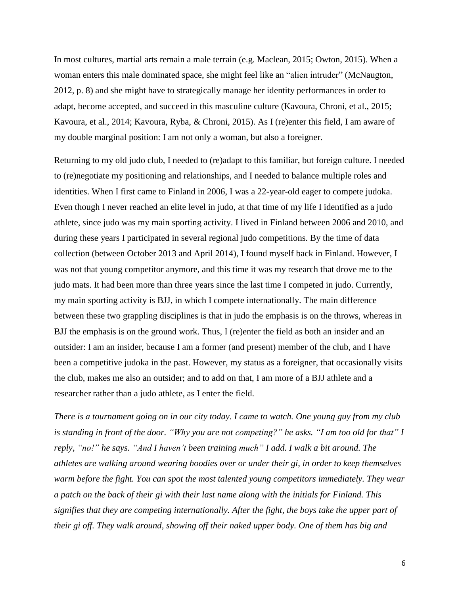In most cultures, martial arts remain a male terrain (e.g. Maclean, 2015; Owton, 2015). When a woman enters this male dominated space, she might feel like an "alien intruder" (McNaugton, 2012, p. 8) and she might have to strategically manage her identity performances in order to adapt, become accepted, and succeed in this masculine culture (Kavoura, Chroni, et al., 2015; Kavoura, et al., 2014; Kavoura, Ryba, & Chroni, 2015). As I (re)enter this field, I am aware of my double marginal position: I am not only a woman, but also a foreigner.

Returning to my old judo club, I needed to (re)adapt to this familiar, but foreign culture. I needed to (re)negotiate my positioning and relationships, and I needed to balance multiple roles and identities. When I first came to Finland in 2006, I was a 22-year-old eager to compete judoka. Even though I never reached an elite level in judo, at that time of my life I identified as a judo athlete, since judo was my main sporting activity. I lived in Finland between 2006 and 2010, and during these years I participated in several regional judo competitions. By the time of data collection (between October 2013 and April 2014), I found myself back in Finland. However, I was not that young competitor anymore, and this time it was my research that drove me to the judo mats. It had been more than three years since the last time I competed in judo. Currently, my main sporting activity is BJJ, in which I compete internationally. The main difference between these two grappling disciplines is that in judo the emphasis is on the throws, whereas in BJJ the emphasis is on the ground work. Thus, I (re)enter the field as both an insider and an outsider: I am an insider, because I am a former (and present) member of the club, and I have been a competitive judoka in the past. However, my status as a foreigner, that occasionally visits the club, makes me also an outsider; and to add on that, I am more of a BJJ athlete and a researcher rather than a judo athlete, as I enter the field.

There is a tournament going on in our city today. I came to watch. One young guy from my club is standing in front of the door. "Why you are not competing?" he asks. "I am too old for that" I *reply, "no!" he says. "And I haven't been training much" I add. I walk a bit around. The athletes are walking around wearing hoodies over or under their gi, in order to keep themselves warm before the fight. You can spot the most talented young competitors immediately. They wear* a patch on the back of their gi with their last name along with the initials for Finland. This *signifies that they are competing internationally. After the fight, the boys take the upper part of their gi off. They walk around, showing off their naked upper body. One of them has big and*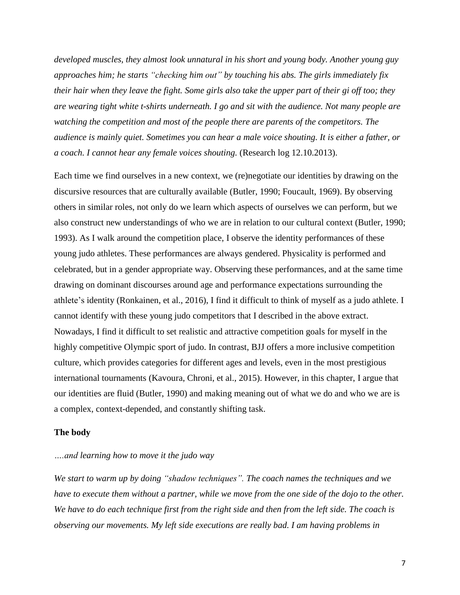*developed muscles, they almost look unnatural in his short and young body. Another young guy approaches him; he starts "checking him out" by touching his abs. The girls immediately fix* their hair when they leave the fight. Some girls also take the upper part of their gi off too; they *are wearing tight white t-shirts underneath. I go and sit with the audience. Not many people are watching the competition and most of the people there are parents of the competitors. The audience is mainly quiet. Sometimes you can hear a male voice shouting. It is either a father, or a coach. I cannot hear any female voices shouting.* (Research log 12.10.2013).

Each time we find ourselves in a new context, we (re)negotiate our identities by drawing on the discursive resources that are culturally available (Butler, 1990; Foucault, 1969). By observing others in similar roles, not only do we learn which aspects of ourselves we can perform, but we also construct new understandings of who we are in relation to our cultural context (Butler, 1990; 1993). As I walk around the competition place, I observe the identity performances of these young judo athletes. These performances are always gendered. Physicality is performed and celebrated, but in a gender appropriate way. Observing these performances, and at the same time drawing on dominant discourses around age and performance expectations surrounding the athlete's identity (Ronkainen, et al., 2016), I find it difficult to think of myself as a judo athlete. I cannot identify with these young judo competitors that I described in the above extract. Nowadays, I find it difficult to set realistic and attractive competition goals for myself in the highly competitive Olympic sport of judo. In contrast, BJJ offers a more inclusive competition culture, which provides categories for different ages and levels, even in the most prestigious international tournaments (Kavoura, Chroni, et al., 2015). However, in this chapter, I argue that our identities are fluid (Butler, 1990) and making meaning out of what we do and who we are is a complex, context-depended, and constantly shifting task.

#### **The body**

## *….and learning how to move it the judo way*

*We start to warm up by doing "shadow techniques". The coach names the techniques and we* have to execute them without a partner, while we move from the one side of the dojo to the other. We have to do each technique first from the right side and then from the left side. The coach is *observing our movements. My left side executions are really bad. I am having problems in*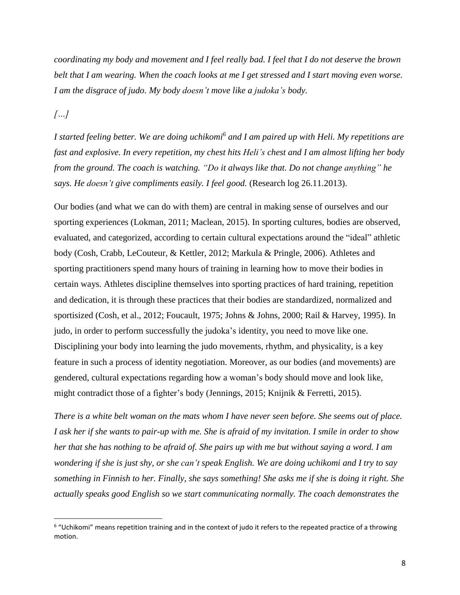coordinating my body and movement and I feel really bad. I feel that I do not deserve the brown belt that I am wearing. When the coach looks at me I get stressed and I start moving even worse. *I am the disgrace of judo. My body doesn't move like a judoka's body.*

*[…]*

 $\overline{\phantom{a}}$ 

I started feeling better. We are doing uchikomi<sup>6</sup> and I am paired up with Heli. My repetitions are fast and explosive. In every repetition, my chest hits Heli's chest and I am almost lifting her body *from the ground. The coach is watching. "Do it always like that. Do not change anything" he says. He doesn't give compliments easily. I feel good.* (Research log 26.11.2013).

Our bodies (and what we can do with them) are central in making sense of ourselves and our sporting experiences (Lokman, 2011; Maclean, 2015). In sporting cultures, bodies are observed, evaluated, and categorized, according to certain cultural expectations around the "ideal" athletic body (Cosh, Crabb, LeCouteur, & Kettler, 2012; Markula & Pringle, 2006). Athletes and sporting practitioners spend many hours of training in learning how to move their bodies in certain ways. Athletes discipline themselves into sporting practices of hard training, repetition and dedication, it is through these practices that their bodies are standardized, normalized and sportisized (Cosh, et al., 2012; Foucault, 1975; Johns & Johns, 2000; Rail & Harvey, 1995). In judo, in order to perform successfully the judoka's identity, you need to move like one. Disciplining your body into learning the judo movements, rhythm, and physicality, is a key feature in such a process of identity negotiation. Moreover, as our bodies (and movements) are gendered, cultural expectations regarding how a woman's body should move and look like, might contradict those of a fighter's body (Jennings, 2015; Knijnik & Ferretti, 2015).

There is a white belt woman on the mats whom I have never seen before. She seems out of place. I ask her if she wants to pair-up with me. She is afraid of my invitation. I smile in order to show her that she has nothing to be afraid of. She pairs up with me but without saying a word. I am wondering if she is just shy, or she can't speak English. We are doing uchikomi and I try to say something in Finnish to her. Finally, she says something! She asks me if she is doing it right. She *actually speaks good English so we start communicating normally. The coach demonstrates the*

<sup>&</sup>lt;sup>6</sup> "Uchikomi" means repetition training and in the context of judo it refers to the repeated practice of a throwing motion.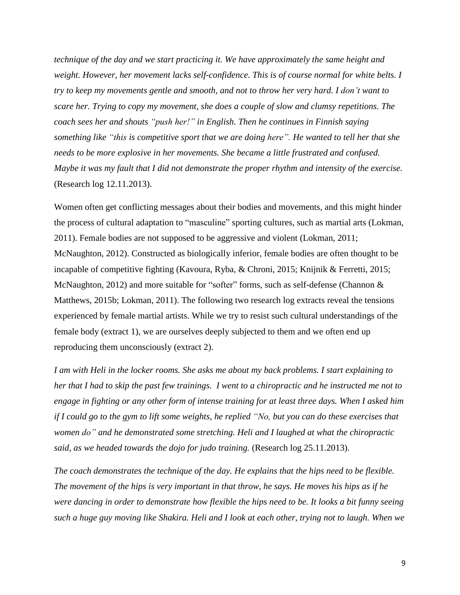*technique of the day and we start practicing it. We have approximately the same height and weight. However, her movement lacks self-confidence. This is of course normal for white belts. I try to keep my movements gentle and smooth, and not to throw her very hard. I don't want to scare her. Trying to copy my movement, she does a couple of slow and clumsy repetitions. The coach sees her and shouts "push her!" in English. Then he continues in Finnish saying something like "this is competitive sport that we are doing here". He wanted to tell her that she needs to be more explosive in her movements. She became a little frustrated and confused. Maybe it was my fault that I did not demonstrate the proper rhythm and intensity of the exercise.* (Research log 12.11.2013).

Women often get conflicting messages about their bodies and movements, and this might hinder the process of cultural adaptation to "masculine" sporting cultures, such as martial arts (Lokman, 2011). Female bodies are not supposed to be aggressive and violent (Lokman, 2011; McNaughton, 2012). Constructed as biologically inferior, female bodies are often thought to be incapable of competitive fighting (Kavoura, Ryba, & Chroni, 2015; Knijnik & Ferretti, 2015; McNaughton, 2012) and more suitable for "softer" forms, such as self-defense (Channon & Matthews, 2015b; Lokman, 2011). The following two research log extracts reveal the tensions experienced by female martial artists. While we try to resist such cultural understandings of the female body (extract 1), we are ourselves deeply subjected to them and we often end up reproducing them unconsciously (extract 2).

I am with Heli in the locker rooms. She asks me about my back problems. I start explaining to her that I had to skip the past few trainings. I went to a chiropractic and he instructed me not to engage in fighting or any other form of intense training for at least three days. When I asked him if I could go to the gym to lift some weights, he replied "No, but you can do these exercises that *women do" and he demonstrated some stretching. Heli and I laughed at what the chiropractic said, as we headed towards the dojo for judo training.* (Research log 25.11.2013).

*The coach demonstrates the technique of the day. He explains that the hips need to be flexible.* The movement of the hips is very important in that throw, he says. He moves his hips as if he were dancing in order to demonstrate how flexible the hips need to be. It looks a bit funny seeing such a huge guy moving like Shakira. Heli and I look at each other, trying not to laugh. When we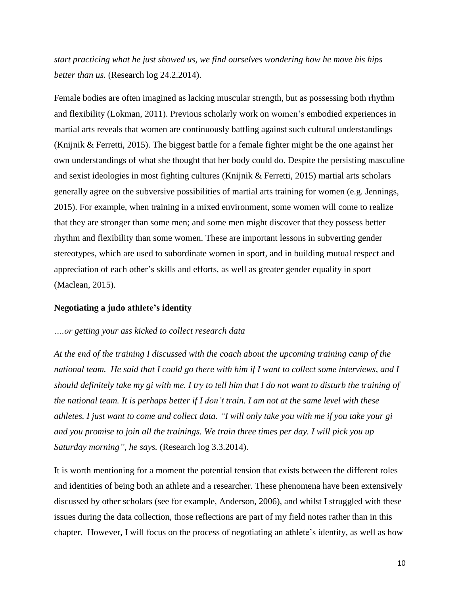*start practicing what he just showed us, we find ourselves wondering how he move his hips better than us.* (Research log 24.2.2014).

Female bodies are often imagined as lacking muscular strength, but as possessing both rhythm and flexibility (Lokman, 2011). Previous scholarly work on women's embodied experiences in martial arts reveals that women are continuously battling against such cultural understandings (Knijnik & Ferretti, 2015). The biggest battle for a female fighter might be the one against her own understandings of what she thought that her body could do. Despite the persisting masculine and sexist ideologies in most fighting cultures (Knijnik & Ferretti, 2015) martial arts scholars generally agree on the subversive possibilities of martial arts training for women (e.g. Jennings, 2015). For example, when training in a mixed environment, some women will come to realize that they are stronger than some men; and some men might discover that they possess better rhythm and flexibility than some women. These are important lessons in subverting gender stereotypes, which are used to subordinate women in sport, and in building mutual respect and appreciation of each other's skills and efforts, as well as greater gender equality in sport (Maclean, 2015).

## **Negotiating a judo athlete's identity**

### *….or getting your ass kicked to collect research data*

*At the end of the training I discussed with the coach about the upcoming training camp of the* national team. He said that I could go there with him if I want to collect some interviews, and I should definitely take my gi with me. I try to tell him that I do not want to disturb the training of the national team. It is perhaps better if I don't train. I am not at the same level with these athletes. I just want to come and collect data. "I will only take you with me if you take your gi *and you promise to join all the trainings. We train three times per day. I will pick you up Saturday morning", he says.* (Research log 3.3.2014).

It is worth mentioning for a moment the potential tension that exists between the different roles and identities of being both an athlete and a researcher. These phenomena have been extensively discussed by other scholars (see for example, Anderson, 2006), and whilst I struggled with these issues during the data collection, those reflections are part of my field notes rather than in this chapter. However, I will focus on the process of negotiating an athlete's identity, as well as how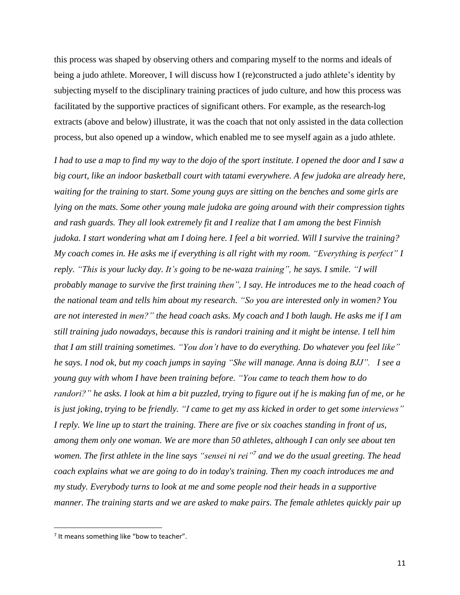this process was shaped by observing others and comparing myself to the norms and ideals of being a judo athlete. Moreover, I will discuss how I (re)constructed a judo athlete's identity by subjecting myself to the disciplinary training practices of judo culture, and how this process was facilitated by the supportive practices of significant others. For example, as the research-log extracts (above and below) illustrate, it was the coach that not only assisted in the data collection process, but also opened up a window, which enabled me to see myself again as a judo athlete.

I had to use a map to find my way to the dojo of the sport institute. I opened the door and I saw a *big court, like an indoor basketball court with tatami everywhere. A few judoka are already here, waiting for the training to start. Some young guys are sitting on the benches and some girls are lying on the mats. Some other young male judoka are going around with their compression tights and rash guards. They all look extremely fit and I realize that I am among the best Finnish* judoka. I start wondering what am I doing here. I feel a bit worried. Will I survive the training? My coach comes in. He asks me if everything is all right with my room. "Everything is perfect" I *reply. "This is your lucky day. It's going to be ne-waza training", he says. I smile. "I will probably manage to survive the first training then", I say. He introduces me to the head coach of the national team and tells him about my research. "So you are interested only in women? You* are not interested in men?" the head coach asks. My coach and I both laugh. He asks me if I am *still training judo nowadays, because this is randori training and it might be intense. I tell him that I am still training sometimes. "You don't have to do everything. Do whatever you feel like"* he says. I nod ok, but my coach jumps in saying "She will manage. Anna is doing BJJ". I see a *young guy with whom I have been training before. "You came to teach them how to do* randori?" he asks. I look at him a bit puzzled, trying to figure out if he is making fun of me, or he is just joking, trying to be friendly. "I came to get my ass kicked in order to get some interviews" I reply. We line up to start the training. There are five or six coaches standing in front of us, *among them only one woman. We are more than 50 athletes, although I can only see about ten* women. The first athlete in the line says "sensei ni rei"<sup>7</sup> and we do the usual greeting. The head *coach explains what we are going to do in today's training. Then my coach introduces me and my study. Everybody turns to look at me and some people nod their heads in a supportive manner. The training starts and we are asked to make pairs. The female athletes quickly pair up*

 $\overline{\phantom{a}}$ 

<sup>&</sup>lt;sup>7</sup> It means something like "bow to teacher".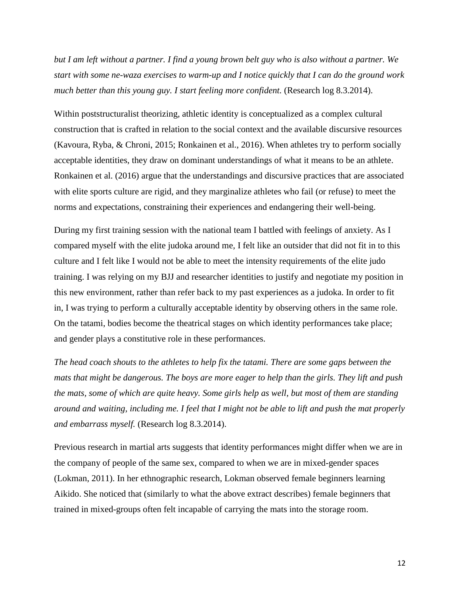but I am left without a partner. I find a young brown belt guy who is also without a partner. We *start with some ne-waza exercises to warm-up and I notice quickly that I can do the ground work much better than this young guy. I start feeling more confident.* (Research log 8.3.2014).

Within poststructuralist theorizing, athletic identity is conceptualized as a complex cultural construction that is crafted in relation to the social context and the available discursive resources (Kavoura, Ryba, & Chroni, 2015; Ronkainen et al., 2016). When athletes try to perform socially acceptable identities, they draw on dominant understandings of what it means to be an athlete. Ronkainen et al. (2016) argue that the understandings and discursive practices that are associated with elite sports culture are rigid, and they marginalize athletes who fail (or refuse) to meet the norms and expectations, constraining their experiences and endangering their well-being.

During my first training session with the national team I battled with feelings of anxiety. As I compared myself with the elite judoka around me, I felt like an outsider that did not fit in to this culture and I felt like I would not be able to meet the intensity requirements of the elite judo training. I was relying on my BJJ and researcher identities to justify and negotiate my position in this new environment, rather than refer back to my past experiences as a judoka. In order to fit in, I was trying to perform a culturally acceptable identity by observing others in the same role. On the tatami, bodies become the theatrical stages on which identity performances take place; and gender plays a constitutive role in these performances.

*The head coach shouts to the athletes to help fix the tatami. There are some gaps between the* mats that might be dangerous. The boys are more eager to help than the girls. They lift and push the mats, some of which are quite heavy. Some girls help as well, but most of them are standing around and waiting, including me. I feel that I might not be able to lift and push the mat properly *and embarrass myself.* (Research log 8.3.2014).

Previous research in martial arts suggests that identity performances might differ when we are in the company of people of the same sex, compared to when we are in mixed-gender spaces (Lokman, 2011). In her ethnographic research, Lokman observed female beginners learning Aikido. She noticed that (similarly to what the above extract describes) female beginners that trained in mixed-groups often felt incapable of carrying the mats into the storage room.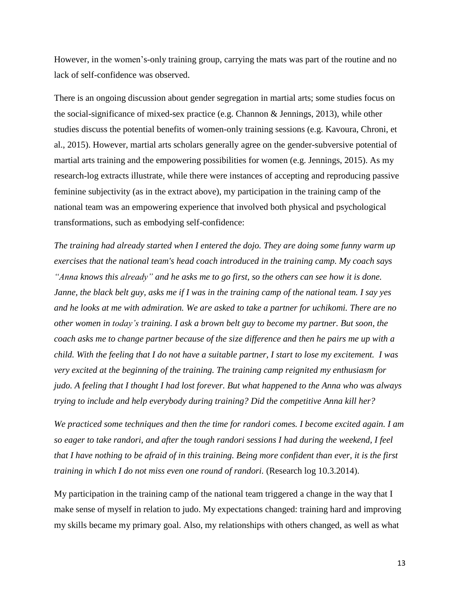However, in the women's-only training group, carrying the mats was part of the routine and no lack of self-confidence was observed.

There is an ongoing discussion about gender segregation in martial arts; some studies focus on the social-significance of mixed-sex practice (e.g. Channon & Jennings, 2013), while other studies discuss the potential benefits of women-only training sessions (e.g. Kavoura, Chroni, et al., 2015). However, martial arts scholars generally agree on the gender-subversive potential of martial arts training and the empowering possibilities for women (e.g. Jennings, 2015). As my research-log extracts illustrate, while there were instances of accepting and reproducing passive feminine subjectivity (as in the extract above), my participation in the training camp of the national team was an empowering experience that involved both physical and psychological transformations, such as embodying self-confidence:

*The training had already started when I entered the dojo. They are doing some funny warm up exercises that the national team's head coach introduced in the training camp. My coach says* "Anna knows this already" and he asks me to go first, so the others can see how it is done. Janne, the black belt guy, asks me if I was in the training camp of the national team. I say yes and he looks at me with admiration. We are asked to take a partner for uchikomi. There are no *other women in today's training. I ask a brown belt guy to become my partner. But soon, the* coach asks me to change partner because of the size difference and then he pairs me up with a child. With the feeling that I do not have a suitable partner, I start to lose my excitement. I was *very excited at the beginning of the training. The training camp reignited my enthusiasm for* judo. A feeling that I thought I had lost forever. But what happened to the Anna who was always *trying to include and help everybody during training? Did the competitive Anna kill her?*

*We practiced some techniques and then the time for randori comes. I become excited again. I am so eager to take randori, and after the tough randori sessions I had during the weekend, I feel* that I have nothing to be afraid of in this training. Being more confident than ever, it is the first *training in which I do not miss even one round of randori.* (Research log 10.3.2014).

My participation in the training camp of the national team triggered a change in the way that I make sense of myself in relation to judo. My expectations changed: training hard and improving my skills became my primary goal. Also, my relationships with others changed, as well as what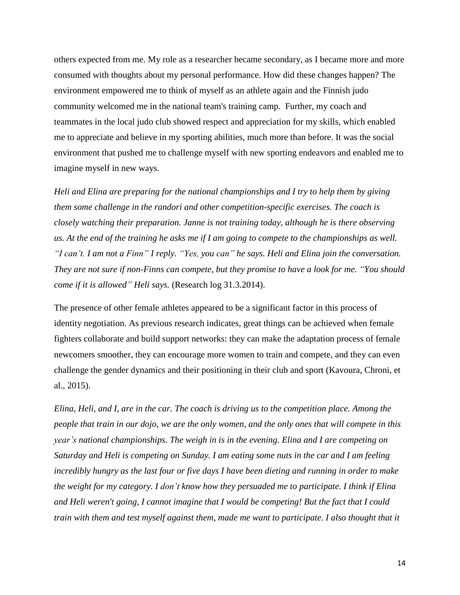others expected from me. My role as a researcher became secondary, as I became more and more consumed with thoughts about my personal performance. How did these changes happen? The environment empowered me to think of myself as an athlete again and the Finnish judo community welcomed me in the national team's training camp. Further, my coach and teammates in the local judo club showed respect and appreciation for my skills, which enabled me to appreciate and believe in my sporting abilities, much more than before. It was the social environment that pushed me to challenge myself with new sporting endeavors and enabled me to imagine myself in new ways.

*Heli and Elina are preparing for the national championships and I try to help them by giving them some challenge in the randori and other competition-specific exercises. The coach is closely watching their preparation. Janne is not training today, although he is there observing* us. At the end of the training he asks me if I am going to compete to the championships as well. "I can't. I am not a Finn" I reply. "Yes, you can" he says. Heli and Elina join the conversation. They are not sure if non-Finns can compete, but they promise to have a look for me. "You should *come if it is allowed" Heli says.* (Research log 31.3.2014).

The presence of other female athletes appeared to be a significant factor in this process of identity negotiation. As previous research indicates, great things can be achieved when female fighters collaborate and build support networks: they can make the adaptation process of female newcomers smoother, they can encourage more women to train and compete, and they can even challenge the gender dynamics and their positioning in their club and sport (Kavoura, Chroni, et al., 2015).

Elina, Heli, and I, are in the car. The coach is driving us to the competition place. Among the people that train in our dojo, we are the only women, and the only ones that will compete in this *year's national championships. The weigh in is in the evening. Elina and I are competing on Saturday and Heli is competing on Sunday. I am eating some nuts in the car and I am feeling* incredibly hungry as the last four or five days I have been dieting and running in order to make *the weight for my category. I don't know how they persuaded me to participate. I think if Elina and Heli weren't going, I cannot imagine that I would be competing! But the fact that I could train with them and test myself against them, made me want to participate. I also thought that it*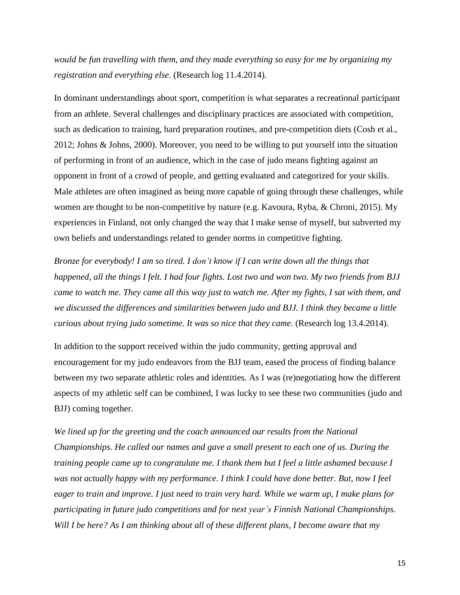*would be fun travelling with them, and they made everything so easy for me by organizing my registration and everything else.* (Research log 11.4.2014)*.*

In dominant understandings about sport, competition is what separates a recreational participant from an athlete. Several challenges and disciplinary practices are associated with competition, such as dedication to training, hard preparation routines, and pre-competition diets (Cosh et al., 2012; Johns & Johns, 2000). Moreover, you need to be willing to put yourself into the situation of performing in front of an audience, which in the case of judo means fighting against an opponent in front of a crowd of people, and getting evaluated and categorized for your skills. Male athletes are often imagined as being more capable of going through these challenges, while women are thought to be non-competitive by nature (e.g. Kavoura, Ryba, & Chroni, 2015). My experiences in Finland, not only changed the way that I make sense of myself, but subverted my own beliefs and understandings related to gender norms in competitive fighting.

*Bronze for everybody! I am so tired. I don't know if I can write down all the things that* happened, all the things I felt. I had four fights. Lost two and won two. My two friends from BJJ came to watch me. They came all this way just to watch me. After my fights, I sat with them, and *we discussed the differences and similarities between judo and BJJ. I think they became a little curious about trying judo sometime. It was so nice that they came.* (Research log 13.4.2014).

In addition to the support received within the judo community, getting approval and encouragement for my judo endeavors from the BJJ team, eased the process of finding balance between my two separate athletic roles and identities. As I was (re)negotiating how the different aspects of my athletic self can be combined, I was lucky to see these two communities (judo and BJJ) coming together.

*We lined up for the greeting and the coach announced our results from the National Championships. He called our names and gave a small present to each one of us. During the training people came up to congratulate me. I thank them but I feel a little ashamed because I was not actually happy with my performance. I think I could have done better. But, now I feel* eager to train and improve. I just need to train very hard. While we warm up, I make plans for *participating in future judo competitions and for next year's Finnish National Championships. Will I be here? As I am thinking about all of these different plans, I become aware that my*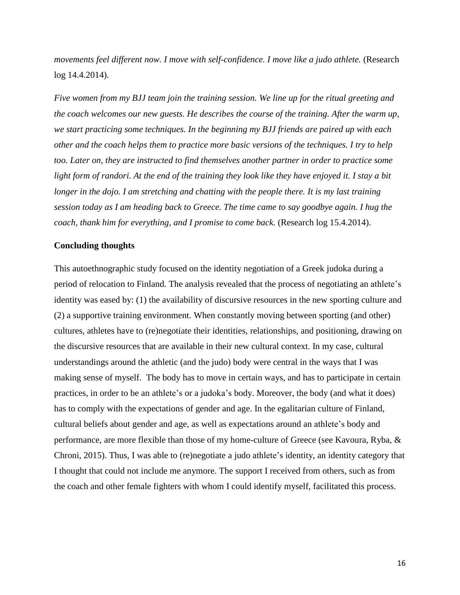*movements feel different now. I move with self-confidence. I move like a judo athlete.* (Research log 14.4.2014).

*Five women from my BJJ team join the training session. We line up for the ritual greeting and the coach welcomes our new guests. He describes the course of the training. After the warm up, we start practicing some techniques. In the beginning my BJJ friends are paired up with each other and the coach helps them to practice more basic versions of the techniques. I try to help too. Later on, they are instructed to find themselves another partner in order to practice some* light form of randori. At the end of the training they look like they have enjoyed it. I stay a bit *longer in the dojo. I am stretching and chatting with the people there. It is my last training session today as I am heading back to Greece. The time came to say goodbye again. I hug the coach, thank him for everything, and I promise to come back.* (Research log 15.4.2014).

## **Concluding thoughts**

This autoethnographic study focused on the identity negotiation of a Greek judoka during a period of relocation to Finland. The analysis revealed that the process of negotiating an athlete's identity was eased by: (1) the availability of discursive resources in the new sporting culture and (2) a supportive training environment. When constantly moving between sporting (and other) cultures, athletes have to (re)negotiate their identities, relationships, and positioning, drawing on the discursive resources that are available in their new cultural context. In my case, cultural understandings around the athletic (and the judo) body were central in the ways that I was making sense of myself. The body has to move in certain ways, and has to participate in certain practices, in order to be an athlete's or a judoka's body. Moreover, the body (and what it does) has to comply with the expectations of gender and age. In the egalitarian culture of Finland, cultural beliefs about gender and age, as well as expectations around an athlete's body and performance, are more flexible than those of my home-culture of Greece (see Kavoura, Ryba, & Chroni, 2015). Thus, I was able to (re)negotiate a judo athlete's identity, an identity category that I thought that could not include me anymore. The support I received from others, such as from the coach and other female fighters with whom I could identify myself, facilitated this process.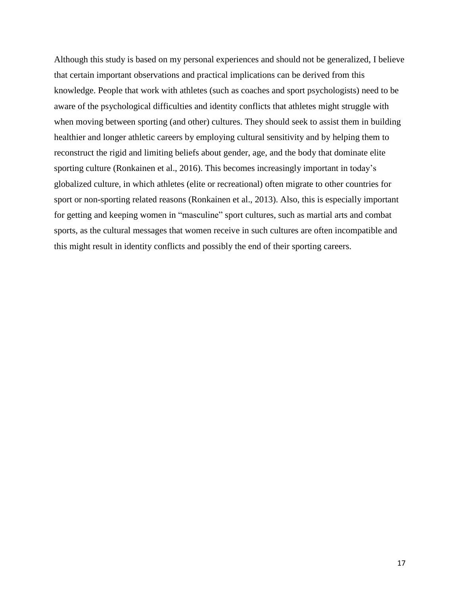Although this study is based on my personal experiences and should not be generalized, I believe that certain important observations and practical implications can be derived from this knowledge. People that work with athletes (such as coaches and sport psychologists) need to be aware of the psychological difficulties and identity conflicts that athletes might struggle with when moving between sporting (and other) cultures. They should seek to assist them in building healthier and longer athletic careers by employing cultural sensitivity and by helping them to reconstruct the rigid and limiting beliefs about gender, age, and the body that dominate elite sporting culture (Ronkainen et al., 2016). This becomes increasingly important in today's globalized culture, in which athletes (elite or recreational) often migrate to other countries for sport or non-sporting related reasons (Ronkainen et al., 2013). Also, this is especially important for getting and keeping women in "masculine" sport cultures, such as martial arts and combat sports, as the cultural messages that women receive in such cultures are often incompatible and this might result in identity conflicts and possibly the end of their sporting careers.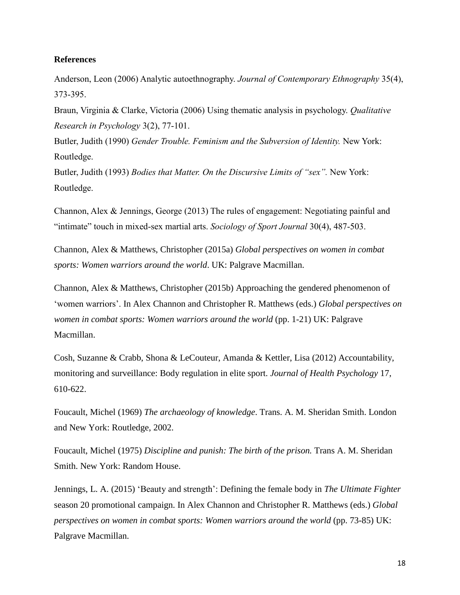## **References**

Anderson, Leon (2006) Analytic autoethnography. *Journal of Contemporary Ethnography* 35(4), 373-395.

Braun, Virginia & Clarke, Victoria (2006) Using thematic analysis in psychology. *Qualitative Research in Psychology* 3(2), 77-101.

Butler, Judith (1990) *Gender Trouble. Feminism and the Subversion of Identity.* New York: Routledge.

Butler, Judith (1993) *Bodies that Matter. On the Discursive Limits of "sex".* New York: Routledge.

Channon, Alex & Jennings, George (2013) The rules of engagement: Negotiating painful and "intimate" touch in mixed-sex martial arts. *Sociology of Sport Journal* 30(4), 487-503.

Channon, Alex & Matthews, Christopher (2015a) *Global perspectives on women in combat sports: Women warriors around the world*. UK: Palgrave Macmillan.

Channon, Alex & Matthews, Christopher (2015b) Approaching the gendered phenomenon of 'women warriors'. In Alex Channon and Christopher R. Matthews (eds.) *Global perspectives on women in combat sports: Women warriors around the world* (pp. 1-21) UK: Palgrave Macmillan.

Cosh, Suzanne & Crabb, Shona & LeCouteur, Amanda & Kettler, Lisa (2012) Accountability, monitoring and surveillance: Body regulation in elite sport. *Journal of Health Psychology* 17, 610-622.

Foucault, Michel (1969) *The archaeology of knowledge*. Trans. A. M. Sheridan Smith. London and New York: Routledge, 2002.

Foucault, Michel (1975) *Discipline and punish: The birth of the prison.* Trans A. M. Sheridan Smith. New York: Random House.

Jennings, L. A. (2015) 'Beauty and strength': Defining the female body in *The Ultimate Fighter* season 20 promotional campaign. In Alex Channon and Christopher R. Matthews (eds.) *Global perspectives on women in combat sports: Women warriors around the world* (pp. 73-85) UK: Palgrave Macmillan.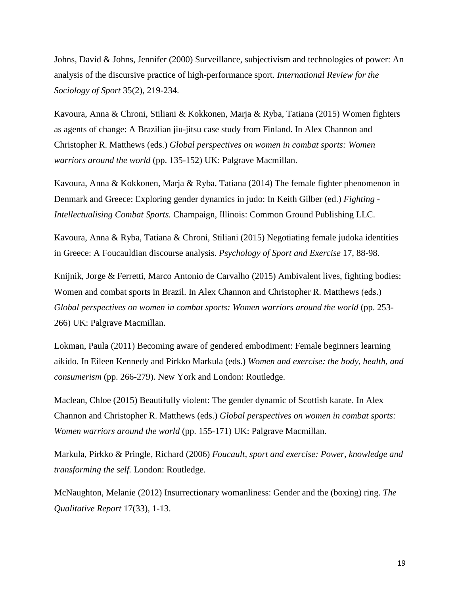Johns, David & Johns, Jennifer (2000) Surveillance, subjectivism and technologies of power: An analysis of the discursive practice of high-performance sport. *International Review for the Sociology of Sport* 35(2), 219-234.

Kavoura, Anna & Chroni, Stiliani & Kokkonen, Marja & Ryba, Tatiana (2015) Women fighters as agents of change: A Brazilian jiu-jitsu case study from Finland. In Alex Channon and Christopher R. Matthews (eds.) *Global perspectives on women in combat sports: Women warriors around the world* (pp. 135-152) UK: Palgrave Macmillan.

Kavoura, Anna & Kokkonen, Marja & Ryba, Tatiana (2014) The female fighter phenomenon in Denmark and Greece: Exploring gender dynamics in judo: In Keith Gilber (ed.) *Fighting - Intellectualising Combat Sports.* Champaign, Illinois: Common Ground Publishing LLC.

Kavoura, Anna & Ryba, Tatiana & Chroni, Stiliani (2015) Negotiating female judoka identities in Greece: A Foucauldian discourse analysis. *Psychology of Sport and Exercise* 17, 88-98.

Knijnik, Jorge & Ferretti, Marco Antonio de Carvalho (2015) Ambivalent lives, fighting bodies: Women and combat sports in Brazil. In Alex Channon and Christopher R. Matthews (eds.) *Global perspectives on women in combat sports: Women warriors around the world* (pp. 253- 266) UK: Palgrave Macmillan.

Lokman, Paula (2011) Becoming aware of gendered embodiment: Female beginners learning aikido. In Eileen Kennedy and Pirkko Markula (eds.) *Women and exercise: the body, health, and consumerism* (pp. 266-279). New York and London: Routledge.

Maclean, Chloe (2015) Beautifully violent: The gender dynamic of Scottish karate. In Alex Channon and Christopher R. Matthews (eds.) *Global perspectives on women in combat sports: Women warriors around the world* (pp. 155-171) UK: Palgrave Macmillan.

Markula, Pirkko & Pringle, Richard (2006) *Foucault, sport and exercise: Power, knowledge and transforming the self.* London: Routledge.

McNaughton, Melanie (2012) Insurrectionary womanliness: Gender and the (boxing) ring. *The Qualitative Report* 17(33), 1-13.